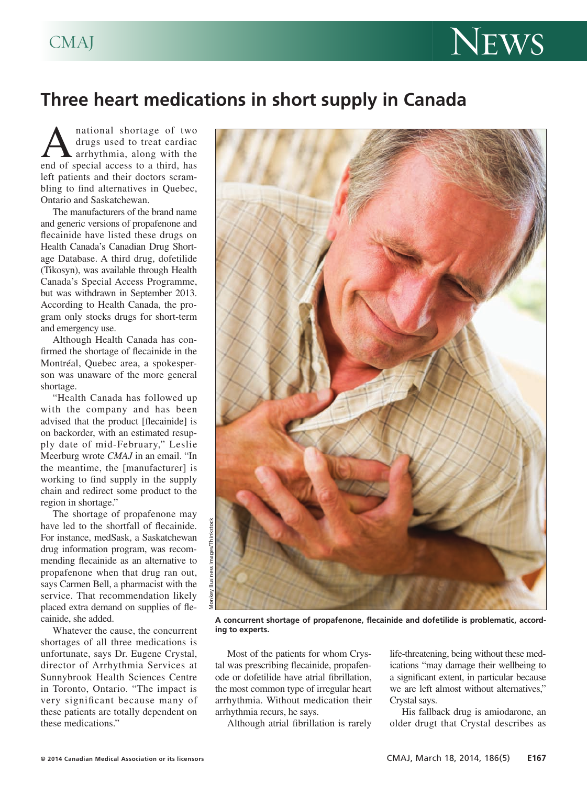

## **Three heart medications in short supply in Canada**

A national shortage of two<br>drugs used to treat cardiac<br>end of special access to a third, has drugs used to treat cardiac arrhythmia, along with the left patients and their doctors scrambling to find alternatives in Quebec, Ontario and Saskatchewan.

The manufacturers of the brand name and generic versions of propafenone and flecainide have listed these drugs on Health Canada's Canadian Drug Shortage Database. A third drug, dofetilide (Tikosyn), was available through Health Canada's Special Access Programme, but was withdrawn in September 2013. According to Health Canada, the program only stocks drugs for short-term and emergency use.

Although Health Canada has confirmed the shortage of flecainide in the Montréal, Quebec area, a spokesperson was unaware of the more general shortage.

"Health Canada has followed up with the company and has been advised that the product [flecainide] is on backorder, with an estimated resupply date of mid-February," Leslie Meerburg wrote *CMAJ* in an email. "In the meantime, the [manufacturer] is working to find supply in the supply chain and redirect some product to the region in shortage."

The shortage of propafenone may have led to the shortfall of flecainide. For instance, medSask, a Saskatchewan drug information program, was recommending flecainide as an alternative to propafenone when that drug ran out, says Carmen Bell, a pharmacist with the service. That recommendation likely placed extra demand on supplies of flecainide, she added.

Whatever the cause, the concurrent shortages of all three medications is unfortunate, says Dr. Eugene Crystal, director of Arrhythmia Services at Sunnybrook Health Sciences Centre in Toronto, Ontario. "The impact is very significant because many of these patients are totally dependent on these medications."



**A concurrent shortage of propafenone, flecainide and dofetilide is problematic, according to experts.** 

Most of the patients for whom Crystal was prescribing flecainide, propafenode or dofetilide have atrial fibrillation, the most common type of irregular heart arrhythmia. Without medication their arrhythmia recurs, he says.

Although atrial fibrillation is rarely

life-threatening, being without these medications "may damage their wellbeing to a significant extent, in particular because we are left almost without alternatives," Crystal says.

His fallback drug is amiodarone, an older drugt that Crystal describes as